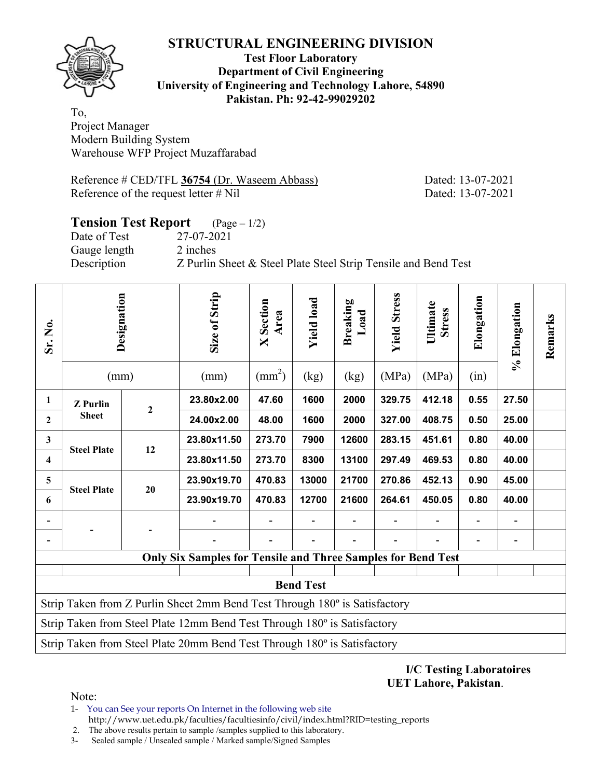

**Test Floor Laboratory Department of Civil Engineering University of Engineering and Technology Lahore, 54890 Pakistan. Ph: 92-42-99029202** 

To, Project Manager Modern Building System Warehouse WFP Project Muzaffarabad

Reference # CED/TFL **36754** (Dr. Waseem Abbass) Dated: 13-07-2021 Reference of the request letter # Nil Dated: 13-07-2021

#### **Tension Test Report** (Page – 1/2) Date of Test 27-07-2021

Gauge length 2 inches

Description Z Purlin Sheet & Steel Plate Steel Strip Tensile and Bend Test

| Sr. No.                                                                  | Designation<br>(mm)                                                        |                  |                                                                     |        | Size of Strip<br>(mm) | <b>X</b> Section<br>Area<br>$\text{(mm}^2)$ | <b>Yield load</b><br>(kg) | <b>Breaking</b><br>Load<br>(kg) | <b>Yield Stress</b><br>(MPa) | Ultimate<br><b>Stress</b><br>(MPa) | Elongation<br>(in) | % Elongation | Remarks |
|--------------------------------------------------------------------------|----------------------------------------------------------------------------|------------------|---------------------------------------------------------------------|--------|-----------------------|---------------------------------------------|---------------------------|---------------------------------|------------------------------|------------------------------------|--------------------|--------------|---------|
| 1                                                                        | <b>Z</b> Purlin                                                            |                  | 23.80x2.00                                                          | 47.60  | 1600                  | 2000                                        | 329.75                    | 412.18                          | 0.55                         | 27.50                              |                    |              |         |
| $\mathbf{2}$                                                             | <b>Sheet</b>                                                               | $\boldsymbol{2}$ | 24.00x2.00                                                          | 48.00  | 1600                  | 2000                                        | 327.00                    | 408.75                          | 0.50                         | 25.00                              |                    |              |         |
| $\mathbf{3}$                                                             | <b>Steel Plate</b>                                                         | 12               | 23.80x11.50                                                         | 273.70 | 7900                  | 12600                                       | 283.15                    | 451.61                          | 0.80                         | 40.00                              |                    |              |         |
| $\overline{\mathbf{4}}$                                                  |                                                                            |                  | 23.80x11.50                                                         | 273.70 | 8300                  | 13100                                       | 297.49                    | 469.53                          | 0.80                         | 40.00                              |                    |              |         |
| 5                                                                        | <b>Steel Plate</b>                                                         | 20               | 23.90x19.70                                                         | 470.83 | 13000                 | 21700                                       | 270.86                    | 452.13                          | 0.90                         | 45.00                              |                    |              |         |
| 6                                                                        |                                                                            |                  | 23.90x19.70                                                         | 470.83 | 12700                 | 21600                                       | 264.61                    | 450.05                          | 0.80                         | 40.00                              |                    |              |         |
|                                                                          |                                                                            |                  |                                                                     |        |                       |                                             |                           |                                 |                              |                                    |                    |              |         |
|                                                                          |                                                                            |                  |                                                                     |        |                       |                                             |                           |                                 |                              |                                    |                    |              |         |
|                                                                          |                                                                            |                  | <b>Only Six Samples for Tensile and Three Samples for Bend Test</b> |        |                       |                                             |                           |                                 |                              |                                    |                    |              |         |
| <b>Bend Test</b>                                                         |                                                                            |                  |                                                                     |        |                       |                                             |                           |                                 |                              |                                    |                    |              |         |
|                                                                          | Strip Taken from Z Purlin Sheet 2mm Bend Test Through 180° is Satisfactory |                  |                                                                     |        |                       |                                             |                           |                                 |                              |                                    |                    |              |         |
| Strip Taken from Steel Plate 12mm Bend Test Through 180° is Satisfactory |                                                                            |                  |                                                                     |        |                       |                                             |                           |                                 |                              |                                    |                    |              |         |
|                                                                          | Strip Taken from Steel Plate 20mm Bend Test Through 180° is Satisfactory   |                  |                                                                     |        |                       |                                             |                           |                                 |                              |                                    |                    |              |         |

### **I/C Testing Laboratoires UET Lahore, Pakistan**.

Note:

1- You can See your reports On Internet in the following web site http://www.uet.edu.pk/faculties/facultiesinfo/civil/index.html?RID=testing\_reports

2. The above results pertain to sample /samples supplied to this laboratory.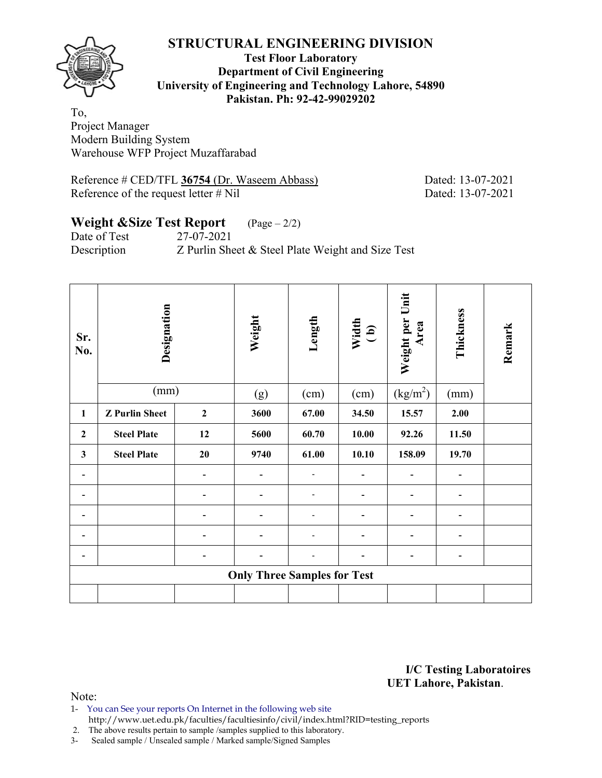

### **Test Floor Laboratory Department of Civil Engineering University of Engineering and Technology Lahore, 54890 Pakistan. Ph: 92-42-99029202**

To, Project Manager Modern Building System Warehouse WFP Project Muzaffarabad

Reference # CED/TFL **36754** (Dr. Waseem Abbass) Dated: 13-07-2021 Reference of the request letter # Nil Dated: 13-07-2021

# **Weight &Size Test Report** (Page – 2/2)

Date of Test 27-07-2021 Description Z Purlin Sheet & Steel Plate Weight and Size Test

| Sr.<br>No.   | Designation           | Weight           | Length                             | Width<br>(b) | Weight per Unit<br>Area | Thickness            | Remark |  |
|--------------|-----------------------|------------------|------------------------------------|--------------|-------------------------|----------------------|--------|--|
|              | (mm)                  |                  | (g)                                | (cm)         | (cm)                    | (kg/m <sup>2</sup> ) | (mm)   |  |
| 1            | <b>Z</b> Purlin Sheet | $\boldsymbol{2}$ | 3600                               | 67.00        | 34.50                   | 15.57                | 2.00   |  |
| $\mathbf{2}$ | <b>Steel Plate</b>    | 12               | 5600                               | 60.70        | 10.00                   | 92.26                | 11.50  |  |
| $\mathbf{3}$ | <b>Steel Plate</b>    | 20               | 9740                               | 61.00        | 10.10                   | 158.09               | 19.70  |  |
| ۰            |                       |                  |                                    |              |                         |                      | -      |  |
|              |                       |                  |                                    |              |                         |                      | -      |  |
|              |                       |                  |                                    |              |                         |                      |        |  |
|              |                       |                  |                                    |              |                         | -                    | -      |  |
|              |                       |                  |                                    |              | -                       | -                    |        |  |
|              |                       |                  | <b>Only Three Samples for Test</b> |              |                         |                      |        |  |
|              |                       |                  |                                    |              |                         |                      |        |  |

**I/C Testing Laboratoires UET Lahore, Pakistan**.

Note:

1- You can See your reports On Internet in the following web site http://www.uet.edu.pk/faculties/facultiesinfo/civil/index.html?RID=testing\_reports

2. The above results pertain to sample /samples supplied to this laboratory.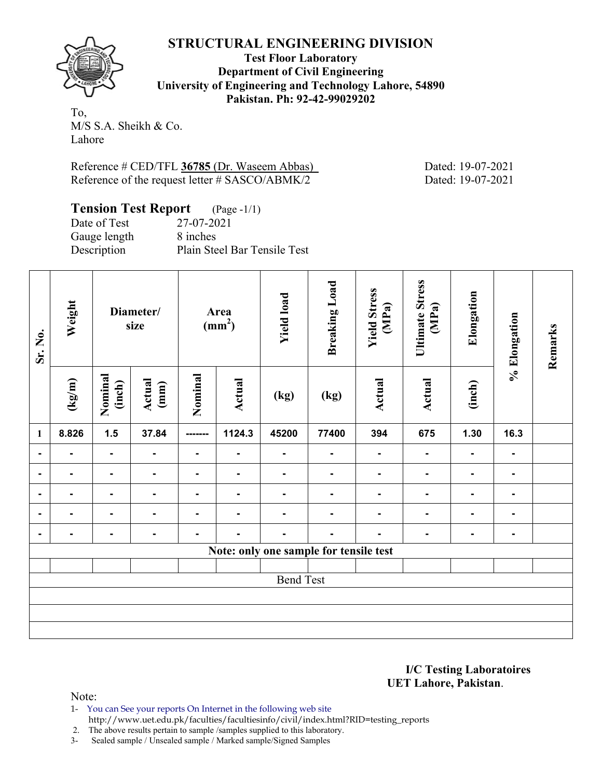

**Test Floor Laboratory Department of Civil Engineering University of Engineering and Technology Lahore, 54890 Pakistan. Ph: 92-42-99029202** 

To, M/S S.A. Sheikh & Co. Lahore

Reference # CED/TFL 36785 (Dr. Waseem Abbas) Dated: 19-07-2021 Reference of the request letter # SASCO/ABMK/2 Dated: 19-07-2021

| <b>Tension Test Report</b> (Page -1/1) |                              |
|----------------------------------------|------------------------------|
| Date of Test                           | 27-07-2021                   |
| Gauge length                           | 8 inches                     |
| Description                            | Plain Steel Bar Tensile Test |

| Sr. No.          | Weight | Diameter/<br>size |                | Area<br>(mm <sup>2</sup> ) |                | <b>Yield load</b> | <b>Breaking Load</b>                   | <b>Yield Stress</b><br>(MPa) | <b>Ultimate Stress</b><br>(MPa) | Elongation               | % Elongation   | Remarks |
|------------------|--------|-------------------|----------------|----------------------------|----------------|-------------------|----------------------------------------|------------------------------|---------------------------------|--------------------------|----------------|---------|
|                  | (kg/m) | Nominal<br>(inch) | Actual<br>(mm) | Nominal                    | <b>Actual</b>  | (kg)              | (kg)                                   | <b>Actual</b>                | <b>Actual</b>                   | (inch)                   |                |         |
| $\mathbf{1}$     | 8.826  | $1.5$             | 37.84          | -------                    | 1124.3         | 45200             | 77400                                  | 394                          | 675                             | 1.30                     | 16.3           |         |
|                  |        | -                 | $\blacksquare$ | ۰                          |                | $\blacksquare$    | $\blacksquare$                         | $\blacksquare$               | $\blacksquare$                  | $\overline{\phantom{a}}$ | $\blacksquare$ |         |
| $\blacksquare$   |        |                   | $\blacksquare$ | ۰                          | $\blacksquare$ | $\blacksquare$    |                                        |                              |                                 | ۰                        |                |         |
|                  |        | -                 | $\blacksquare$ |                            |                |                   |                                        |                              |                                 |                          |                |         |
| $\blacksquare$   |        | Ξ.                | $\blacksquare$ |                            |                |                   |                                        |                              |                                 | -                        |                |         |
|                  |        | Ξ.                | $\blacksquare$ |                            |                |                   |                                        |                              |                                 |                          |                |         |
|                  |        |                   |                |                            |                |                   | Note: only one sample for tensile test |                              |                                 |                          |                |         |
|                  |        |                   |                |                            |                |                   |                                        |                              |                                 |                          |                |         |
| <b>Bend Test</b> |        |                   |                |                            |                |                   |                                        |                              |                                 |                          |                |         |
|                  |        |                   |                |                            |                |                   |                                        |                              |                                 |                          |                |         |
|                  |        |                   |                |                            |                |                   |                                        |                              |                                 |                          |                |         |
|                  |        |                   |                |                            |                |                   |                                        |                              |                                 |                          |                |         |

**I/C Testing Laboratoires UET Lahore, Pakistan**.

Note:

1- You can See your reports On Internet in the following web site http://www.uet.edu.pk/faculties/facultiesinfo/civil/index.html?RID=testing\_reports

2. The above results pertain to sample /samples supplied to this laboratory.